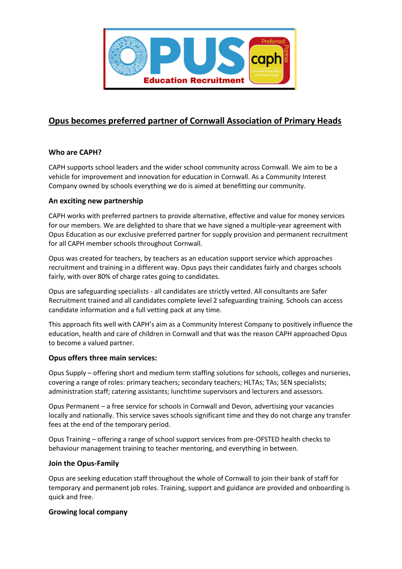

# **Opus becomes preferred partner of Cornwall Association of Primary Heads**

# **Who are CAPH?**

CAPH supports school leaders and the wider school community across Cornwall. We aim to be a vehicle for improvement and innovation for education in Cornwall. As a Community Interest Company owned by schools everything we do is aimed at benefitting our community.

# **An exciting new partnership**

CAPH works with preferred partners to provide alternative, effective and value for money services for our members. We are delighted to share that we have signed a multiple-year agreement with Opus Education as our exclusive preferred partner for supply provision and permanent recruitment for all CAPH member schools throughout Cornwall.

Opus was created for teachers, by teachers as an education support service which approaches recruitment and training in a different way. Opus pays their candidates fairly and charges schools fairly, with over 80% of charge rates going to candidates.

Opus are safeguarding specialists - all candidates are strictly vetted. All consultants are Safer Recruitment trained and all candidates complete level 2 safeguarding training. Schools can access candidate information and a full vetting pack at any time.

This approach fits well with CAPH's aim as a Community Interest Company to positively influence the education, health and care of children in Cornwall and that was the reason CAPH approached Opus to become a valued partner.

### **Opus offers three main services:**

Opus Supply – offering short and medium term staffing solutions for schools, colleges and nurseries, covering a range of roles: primary teachers; secondary teachers; HLTAs; TAs; SEN specialists; administration staff; catering assistants; lunchtime supervisors and lecturers and assessors.

Opus Permanent – a free service for schools in Cornwall and Devon, advertising your vacancies locally and nationally. This service saves schools significant time and they do not charge any transfer fees at the end of the temporary period.

Opus Training – offering a range of school support services from pre-OFSTED health checks to behaviour management training to teacher mentoring, and everything in between.

### **Join the Opus-Family**

Opus are seeking education staff throughout the whole of Cornwall to join their bank of staff for temporary and permanent job roles. Training, support and guidance are provided and onboarding is quick and free.

### **Growing local company**